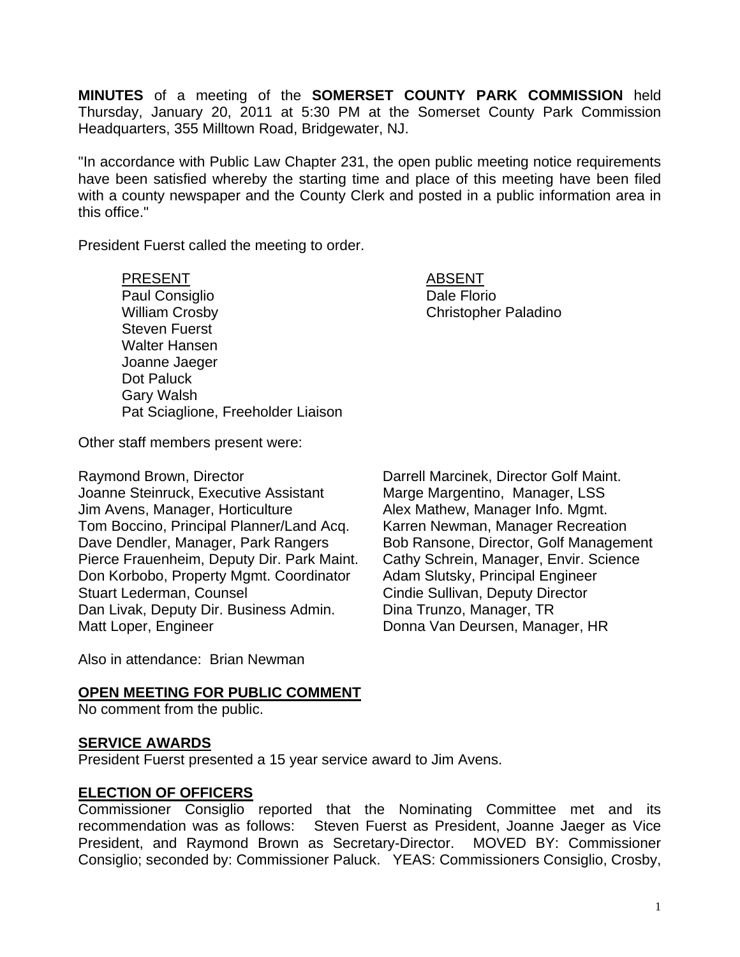**MINUTES** of a meeting of the **SOMERSET COUNTY PARK COMMISSION** held Thursday, January 20, 2011 at 5:30 PM at the Somerset County Park Commission Headquarters, 355 Milltown Road, Bridgewater, NJ.

"In accordance with Public Law Chapter 231, the open public meeting notice requirements have been satisfied whereby the starting time and place of this meeting have been filed with a county newspaper and the County Clerk and posted in a public information area in this office."

President Fuerst called the meeting to order.

PRESENT ABSENT Paul Consiglio **Dale Florio** Dale Florio William Crosby **Christopher Paladino** Steven Fuerst Walter Hansen Joanne Jaeger Dot Paluck Gary Walsh Pat Sciaglione, Freeholder Liaison

Other staff members present were:

Raymond Brown, Director **Darrell Marcinek, Director Golf Maint.** Joanne Steinruck, Executive Assistant Marge Margentino, Manager, LSS Jim Avens, Manager, Horticulture **Alex Mathew, Manager Info. Mgmt.** Tom Boccino, Principal Planner/Land Acq. Karren Newman, Manager Recreation Dave Dendler, Manager, Park Rangers Bob Ransone, Director, Golf Management Pierce Frauenheim, Deputy Dir. Park Maint. Cathy Schrein, Manager, Envir. Science Don Korbobo, Property Mgmt. Coordinator Adam Slutsky, Principal Engineer Stuart Lederman, Counsel **Conserverse Constant Conserverse Cindie Sullivan, Deputy Director** Dan Livak, Deputy Dir. Business Admin. Dina Trunzo, Manager, TR Matt Loper, Engineer **National Information Connaist Donna Van Deursen**, Manager, HR

Also in attendance: Brian Newman

#### **OPEN MEETING FOR PUBLIC COMMENT**

No comment from the public.

#### **SERVICE AWARDS**

President Fuerst presented a 15 year service award to Jim Avens.

#### **ELECTION OF OFFICERS**

Commissioner Consiglio reported that the Nominating Committee met and its recommendation was as follows: Steven Fuerst as President, Joanne Jaeger as Vice President, and Raymond Brown as Secretary-Director. MOVED BY: Commissioner Consiglio; seconded by: Commissioner Paluck. YEAS: Commissioners Consiglio, Crosby,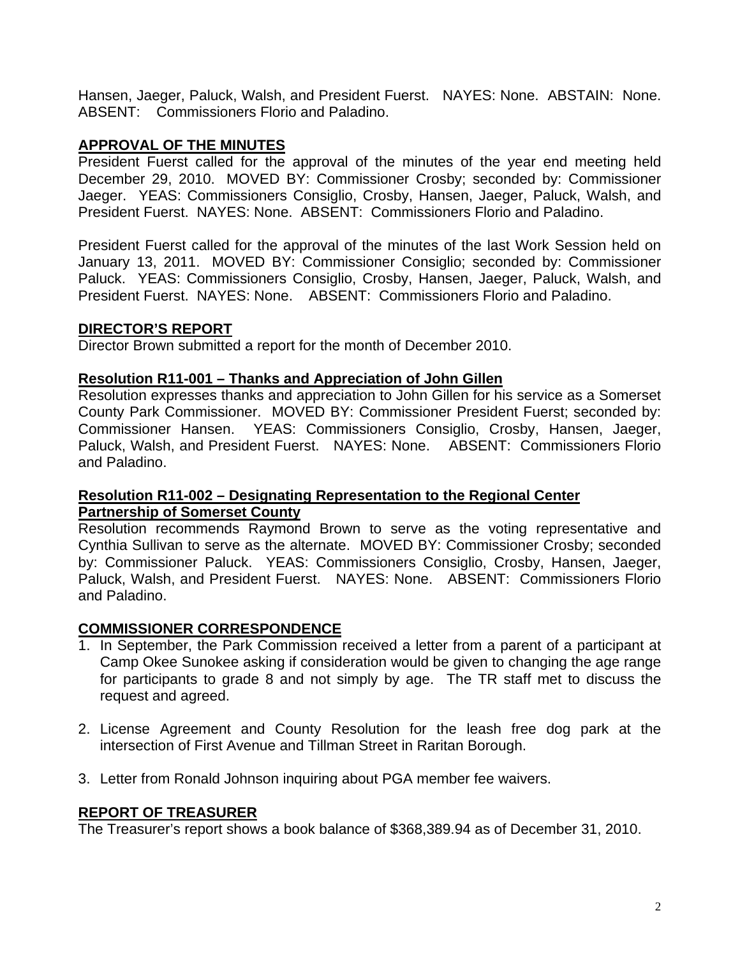Hansen, Jaeger, Paluck, Walsh, and President Fuerst. NAYES: None. ABSTAIN: None. ABSENT: Commissioners Florio and Paladino.

## **APPROVAL OF THE MINUTES**

President Fuerst called for the approval of the minutes of the year end meeting held December 29, 2010. MOVED BY: Commissioner Crosby; seconded by: Commissioner Jaeger. YEAS: Commissioners Consiglio, Crosby, Hansen, Jaeger, Paluck, Walsh, and President Fuerst. NAYES: None. ABSENT: Commissioners Florio and Paladino.

President Fuerst called for the approval of the minutes of the last Work Session held on January 13, 2011. MOVED BY: Commissioner Consiglio; seconded by: Commissioner Paluck. YEAS: Commissioners Consiglio, Crosby, Hansen, Jaeger, Paluck, Walsh, and President Fuerst. NAYES: None. ABSENT: Commissioners Florio and Paladino.

#### **DIRECTOR'S REPORT**

Director Brown submitted a report for the month of December 2010.

## **Resolution R11-001 – Thanks and Appreciation of John Gillen**

Resolution expresses thanks and appreciation to John Gillen for his service as a Somerset County Park Commissioner. MOVED BY: Commissioner President Fuerst; seconded by: Commissioner Hansen. YEAS: Commissioners Consiglio, Crosby, Hansen, Jaeger, Paluck, Walsh, and President Fuerst. NAYES: None. ABSENT: Commissioners Florio and Paladino.

#### **Resolution R11-002 – Designating Representation to the Regional Center Partnership of Somerset County**

Resolution recommends Raymond Brown to serve as the voting representative and Cynthia Sullivan to serve as the alternate. MOVED BY: Commissioner Crosby; seconded by: Commissioner Paluck. YEAS: Commissioners Consiglio, Crosby, Hansen, Jaeger, Paluck, Walsh, and President Fuerst. NAYES: None. ABSENT: Commissioners Florio and Paladino.

#### **COMMISSIONER CORRESPONDENCE**

- 1. In September, the Park Commission received a letter from a parent of a participant at Camp Okee Sunokee asking if consideration would be given to changing the age range for participants to grade 8 and not simply by age. The TR staff met to discuss the request and agreed.
- 2. License Agreement and County Resolution for the leash free dog park at the intersection of First Avenue and Tillman Street in Raritan Borough.
- 3. Letter from Ronald Johnson inquiring about PGA member fee waivers.

#### **REPORT OF TREASURER**

The Treasurer's report shows a book balance of \$368,389.94 as of December 31, 2010.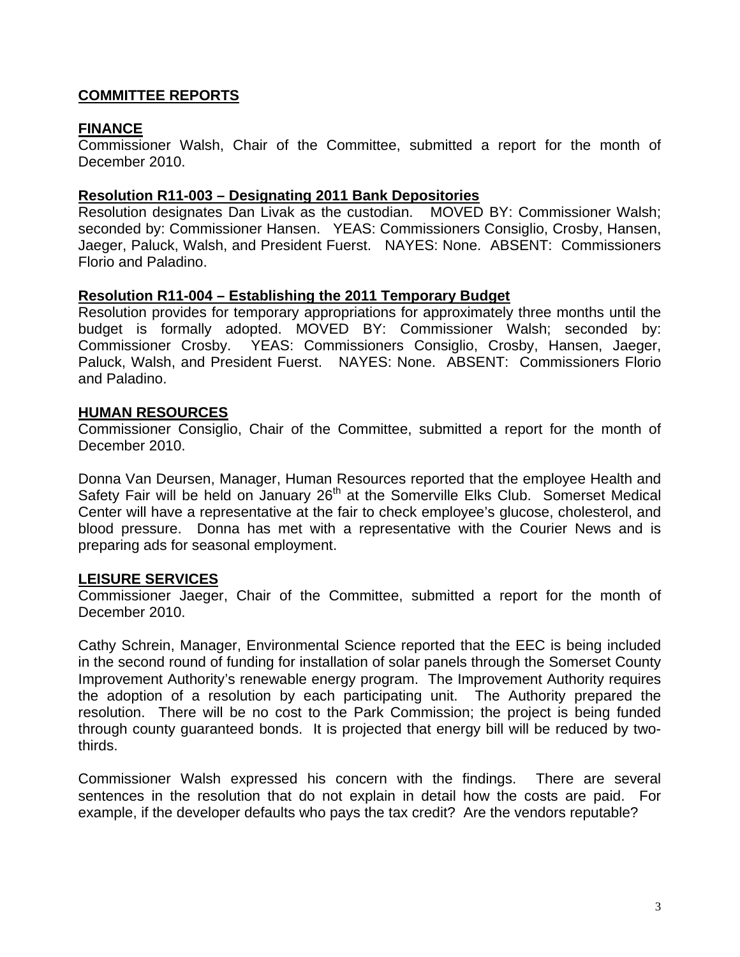# **COMMITTEE REPORTS**

## **FINANCE**

Commissioner Walsh, Chair of the Committee, submitted a report for the month of December 2010.

#### **Resolution R11-003 – Designating 2011 Bank Depositories**

Resolution designates Dan Livak as the custodian. MOVED BY: Commissioner Walsh; seconded by: Commissioner Hansen. YEAS: Commissioners Consiglio, Crosby, Hansen, Jaeger, Paluck, Walsh, and President Fuerst. NAYES: None. ABSENT: Commissioners Florio and Paladino.

#### **Resolution R11-004 – Establishing the 2011 Temporary Budget**

Resolution provides for temporary appropriations for approximately three months until the budget is formally adopted. MOVED BY: Commissioner Walsh; seconded by: Commissioner Crosby. YEAS: Commissioners Consiglio, Crosby, Hansen, Jaeger, Paluck, Walsh, and President Fuerst. NAYES: None. ABSENT: Commissioners Florio and Paladino.

#### **HUMAN RESOURCES**

Commissioner Consiglio, Chair of the Committee, submitted a report for the month of December 2010.

Donna Van Deursen, Manager, Human Resources reported that the employee Health and Safety Fair will be held on January 26<sup>th</sup> at the Somerville Elks Club. Somerset Medical Center will have a representative at the fair to check employee's glucose, cholesterol, and blood pressure. Donna has met with a representative with the Courier News and is preparing ads for seasonal employment.

#### **LEISURE SERVICES**

Commissioner Jaeger, Chair of the Committee, submitted a report for the month of December 2010.

Cathy Schrein, Manager, Environmental Science reported that the EEC is being included in the second round of funding for installation of solar panels through the Somerset County Improvement Authority's renewable energy program. The Improvement Authority requires the adoption of a resolution by each participating unit. The Authority prepared the resolution. There will be no cost to the Park Commission; the project is being funded through county guaranteed bonds. It is projected that energy bill will be reduced by twothirds.

Commissioner Walsh expressed his concern with the findings. There are several sentences in the resolution that do not explain in detail how the costs are paid. For example, if the developer defaults who pays the tax credit? Are the vendors reputable?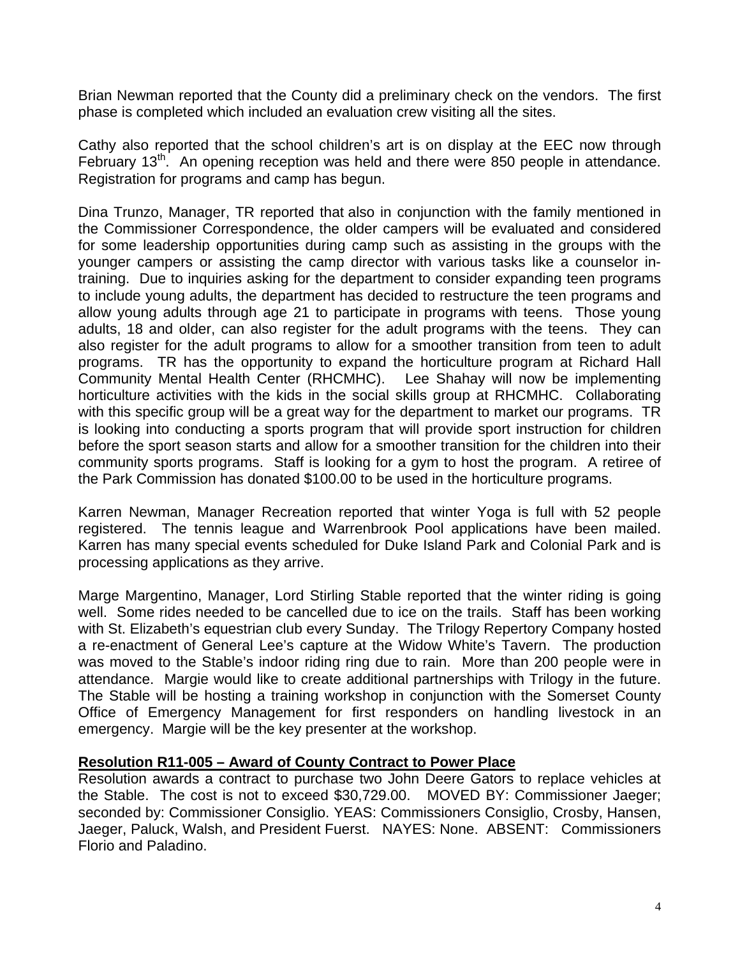Brian Newman reported that the County did a preliminary check on the vendors. The first phase is completed which included an evaluation crew visiting all the sites.

Cathy also reported that the school children's art is on display at the EEC now through February 13<sup>th</sup>. An opening reception was held and there were 850 people in attendance. Registration for programs and camp has begun.

Dina Trunzo, Manager, TR reported that also in conjunction with the family mentioned in the Commissioner Correspondence, the older campers will be evaluated and considered for some leadership opportunities during camp such as assisting in the groups with the younger campers or assisting the camp director with various tasks like a counselor intraining. Due to inquiries asking for the department to consider expanding teen programs to include young adults, the department has decided to restructure the teen programs and allow young adults through age 21 to participate in programs with teens. Those young adults, 18 and older, can also register for the adult programs with the teens. They can also register for the adult programs to allow for a smoother transition from teen to adult programs. TR has the opportunity to expand the horticulture program at Richard Hall Community Mental Health Center (RHCMHC). Lee Shahay will now be implementing horticulture activities with the kids in the social skills group at RHCMHC. Collaborating with this specific group will be a great way for the department to market our programs. TR is looking into conducting a sports program that will provide sport instruction for children before the sport season starts and allow for a smoother transition for the children into their community sports programs. Staff is looking for a gym to host the program. A retiree of the Park Commission has donated \$100.00 to be used in the horticulture programs.

Karren Newman, Manager Recreation reported that winter Yoga is full with 52 people registered. The tennis league and Warrenbrook Pool applications have been mailed. Karren has many special events scheduled for Duke Island Park and Colonial Park and is processing applications as they arrive.

Marge Margentino, Manager, Lord Stirling Stable reported that the winter riding is going well. Some rides needed to be cancelled due to ice on the trails. Staff has been working with St. Elizabeth's equestrian club every Sunday. The Trilogy Repertory Company hosted a re-enactment of General Lee's capture at the Widow White's Tavern. The production was moved to the Stable's indoor riding ring due to rain. More than 200 people were in attendance. Margie would like to create additional partnerships with Trilogy in the future. The Stable will be hosting a training workshop in conjunction with the Somerset County Office of Emergency Management for first responders on handling livestock in an emergency. Margie will be the key presenter at the workshop.

#### **Resolution R11-005 – Award of County Contract to Power Place**

Resolution awards a contract to purchase two John Deere Gators to replace vehicles at the Stable. The cost is not to exceed \$30,729.00. MOVED BY: Commissioner Jaeger; seconded by: Commissioner Consiglio. YEAS: Commissioners Consiglio, Crosby, Hansen, Jaeger, Paluck, Walsh, and President Fuerst. NAYES: None. ABSENT: Commissioners Florio and Paladino.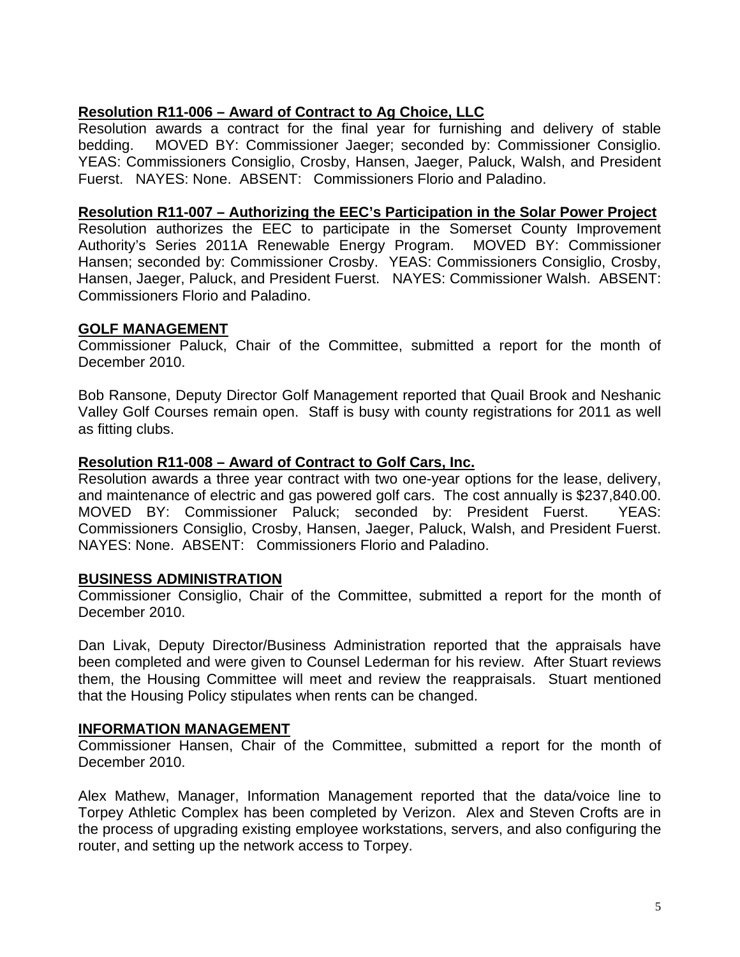# **Resolution R11-006 – Award of Contract to Ag Choice, LLC**

Resolution awards a contract for the final year for furnishing and delivery of stable bedding. MOVED BY: Commissioner Jaeger; seconded by: Commissioner Consiglio. YEAS: Commissioners Consiglio, Crosby, Hansen, Jaeger, Paluck, Walsh, and President Fuerst. NAYES: None. ABSENT: Commissioners Florio and Paladino.

#### **Resolution R11-007 – Authorizing the EEC's Participation in the Solar Power Project**

Resolution authorizes the EEC to participate in the Somerset County Improvement Authority's Series 2011A Renewable Energy Program. MOVED BY: Commissioner Hansen; seconded by: Commissioner Crosby. YEAS: Commissioners Consiglio, Crosby, Hansen, Jaeger, Paluck, and President Fuerst. NAYES: Commissioner Walsh. ABSENT: Commissioners Florio and Paladino.

#### **GOLF MANAGEMENT**

Commissioner Paluck, Chair of the Committee, submitted a report for the month of December 2010.

Bob Ransone, Deputy Director Golf Management reported that Quail Brook and Neshanic Valley Golf Courses remain open. Staff is busy with county registrations for 2011 as well as fitting clubs.

#### **Resolution R11-008 – Award of Contract to Golf Cars, Inc.**

Resolution awards a three year contract with two one-year options for the lease, delivery, and maintenance of electric and gas powered golf cars. The cost annually is \$237,840.00. MOVED BY: Commissioner Paluck; seconded by: President Fuerst. YEAS: Commissioners Consiglio, Crosby, Hansen, Jaeger, Paluck, Walsh, and President Fuerst. NAYES: None. ABSENT: Commissioners Florio and Paladino.

#### **BUSINESS ADMINISTRATION**

Commissioner Consiglio, Chair of the Committee, submitted a report for the month of December 2010.

Dan Livak, Deputy Director/Business Administration reported that the appraisals have been completed and were given to Counsel Lederman for his review. After Stuart reviews them, the Housing Committee will meet and review the reappraisals. Stuart mentioned that the Housing Policy stipulates when rents can be changed.

#### **INFORMATION MANAGEMENT**

Commissioner Hansen, Chair of the Committee, submitted a report for the month of December 2010.

Alex Mathew, Manager, Information Management reported that the data/voice line to Torpey Athletic Complex has been completed by Verizon. Alex and Steven Crofts are in the process of upgrading existing employee workstations, servers, and also configuring the router, and setting up the network access to Torpey.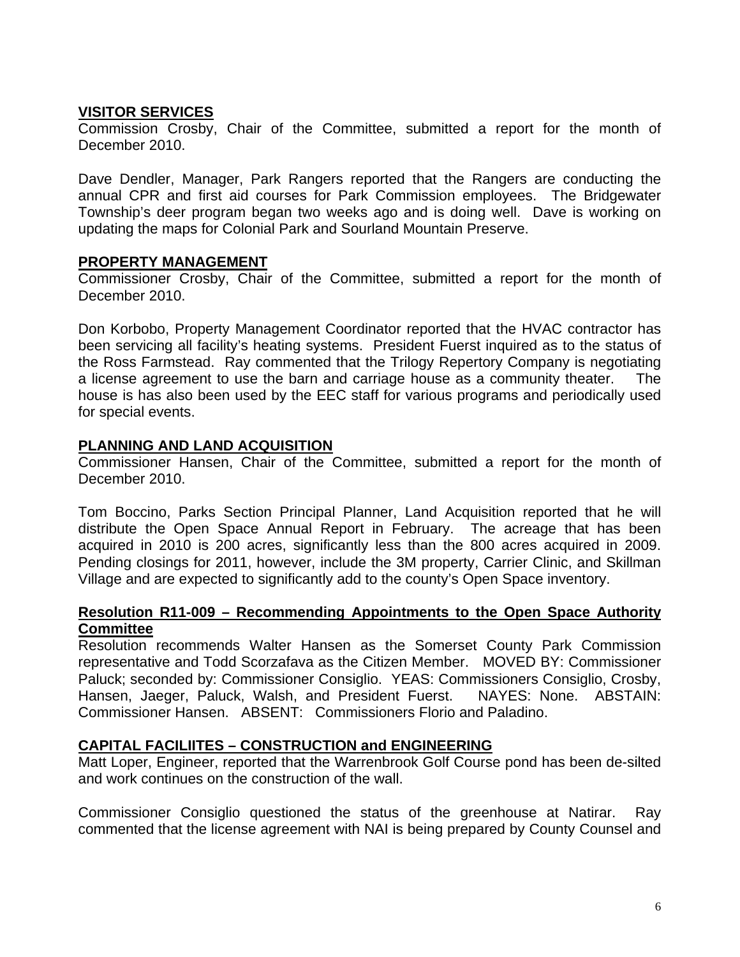# **VISITOR SERVICES**

Commission Crosby, Chair of the Committee, submitted a report for the month of December 2010.

Dave Dendler, Manager, Park Rangers reported that the Rangers are conducting the annual CPR and first aid courses for Park Commission employees. The Bridgewater Township's deer program began two weeks ago and is doing well. Dave is working on updating the maps for Colonial Park and Sourland Mountain Preserve.

## **PROPERTY MANAGEMENT**

Commissioner Crosby, Chair of the Committee, submitted a report for the month of December 2010.

Don Korbobo, Property Management Coordinator reported that the HVAC contractor has been servicing all facility's heating systems. President Fuerst inquired as to the status of the Ross Farmstead. Ray commented that the Trilogy Repertory Company is negotiating a license agreement to use the barn and carriage house as a community theater. The house is has also been used by the EEC staff for various programs and periodically used for special events.

## **PLANNING AND LAND ACQUISITION**

Commissioner Hansen, Chair of the Committee, submitted a report for the month of December 2010.

Tom Boccino, Parks Section Principal Planner, Land Acquisition reported that he will distribute the Open Space Annual Report in February. The acreage that has been acquired in 2010 is 200 acres, significantly less than the 800 acres acquired in 2009. Pending closings for 2011, however, include the 3M property, Carrier Clinic, and Skillman Village and are expected to significantly add to the county's Open Space inventory.

#### **Resolution R11-009 – Recommending Appointments to the Open Space Authority Committee**

Resolution recommends Walter Hansen as the Somerset County Park Commission representative and Todd Scorzafava as the Citizen Member. MOVED BY: Commissioner Paluck; seconded by: Commissioner Consiglio. YEAS: Commissioners Consiglio, Crosby, Hansen, Jaeger, Paluck, Walsh, and President Fuerst. NAYES: None. ABSTAIN: Commissioner Hansen. ABSENT: Commissioners Florio and Paladino.

# **CAPITAL FACILIITES – CONSTRUCTION and ENGINEERING**

Matt Loper, Engineer, reported that the Warrenbrook Golf Course pond has been de-silted and work continues on the construction of the wall.

Commissioner Consiglio questioned the status of the greenhouse at Natirar. Ray commented that the license agreement with NAI is being prepared by County Counsel and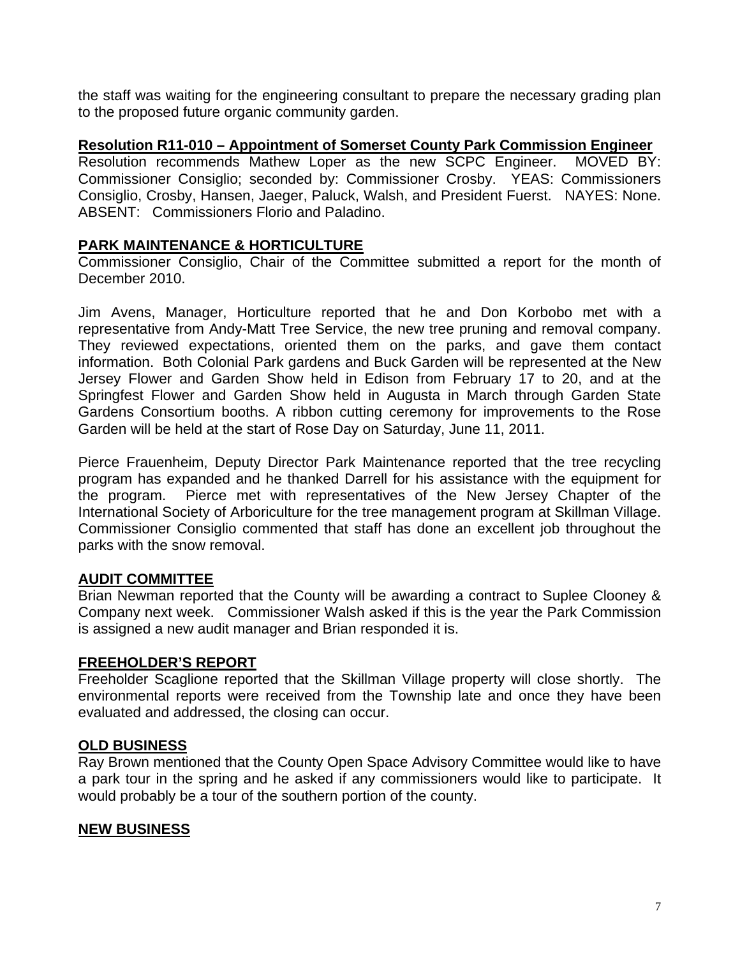the staff was waiting for the engineering consultant to prepare the necessary grading plan to the proposed future organic community garden.

## **Resolution R11-010 – Appointment of Somerset County Park Commission Engineer**

Resolution recommends Mathew Loper as the new SCPC Engineer. MOVED BY: Commissioner Consiglio; seconded by: Commissioner Crosby. YEAS: Commissioners Consiglio, Crosby, Hansen, Jaeger, Paluck, Walsh, and President Fuerst. NAYES: None. ABSENT: Commissioners Florio and Paladino.

## **PARK MAINTENANCE & HORTICULTURE**

Commissioner Consiglio, Chair of the Committee submitted a report for the month of December 2010.

Jim Avens, Manager, Horticulture reported that he and Don Korbobo met with a representative from Andy-Matt Tree Service, the new tree pruning and removal company. They reviewed expectations, oriented them on the parks, and gave them contact information. Both Colonial Park gardens and Buck Garden will be represented at the New Jersey Flower and Garden Show held in Edison from February 17 to 20, and at the Springfest Flower and Garden Show held in Augusta in March through Garden State Gardens Consortium booths. A ribbon cutting ceremony for improvements to the Rose Garden will be held at the start of Rose Day on Saturday, June 11, 2011.

Pierce Frauenheim, Deputy Director Park Maintenance reported that the tree recycling program has expanded and he thanked Darrell for his assistance with the equipment for the program. Pierce met with representatives of the New Jersey Chapter of the International Society of Arboriculture for the tree management program at Skillman Village. Commissioner Consiglio commented that staff has done an excellent job throughout the parks with the snow removal.

#### **AUDIT COMMITTEE**

Brian Newman reported that the County will be awarding a contract to Suplee Clooney & Company next week. Commissioner Walsh asked if this is the year the Park Commission is assigned a new audit manager and Brian responded it is.

#### **FREEHOLDER'S REPORT**

Freeholder Scaglione reported that the Skillman Village property will close shortly. The environmental reports were received from the Township late and once they have been evaluated and addressed, the closing can occur.

#### **OLD BUSINESS**

Ray Brown mentioned that the County Open Space Advisory Committee would like to have a park tour in the spring and he asked if any commissioners would like to participate. It would probably be a tour of the southern portion of the county.

#### **NEW BUSINESS**